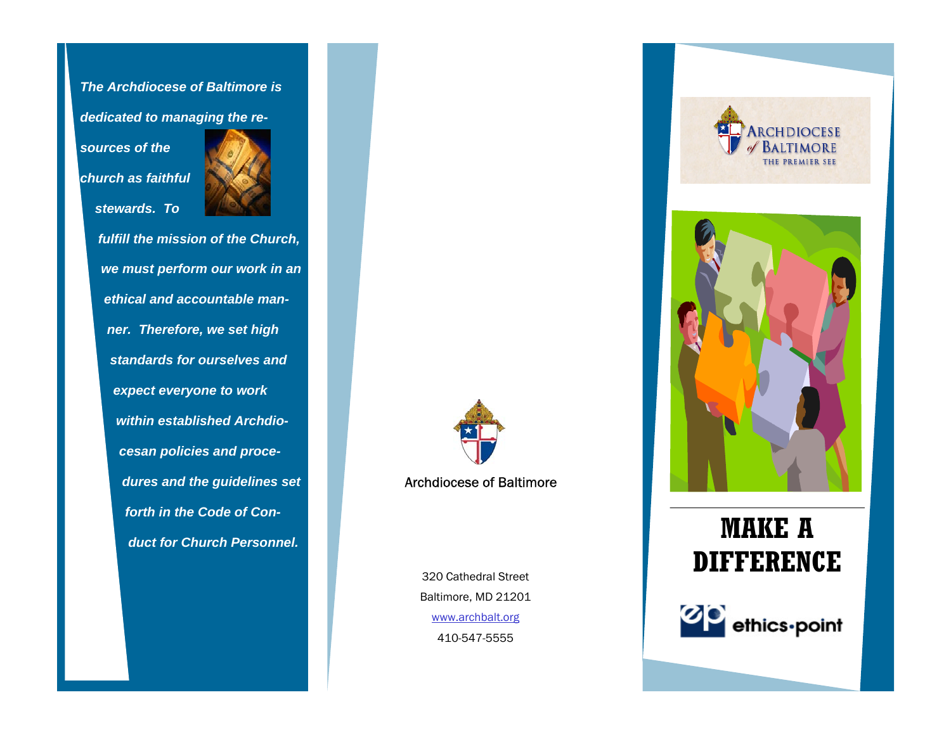*The Archdiocese of Baltimore is* 

*dedicated to managing the re-*

*sources of the church as faithful stewards. To* 



*fulfill the mission of the Church, we must perform our work in an ethical and accountable manner. Therefore, we set high standards for ourselves and expect everyone to work within established Archdiocesan policies and procedures and the guidelines set forth in the Code of Conduct for Church Personnel.*

Archdiocese of Baltimore

320 Cathedral Street Baltimore, MD 21201 www.archbalt.org 410-547-5555





## **MAKE A DIFFERENCE**